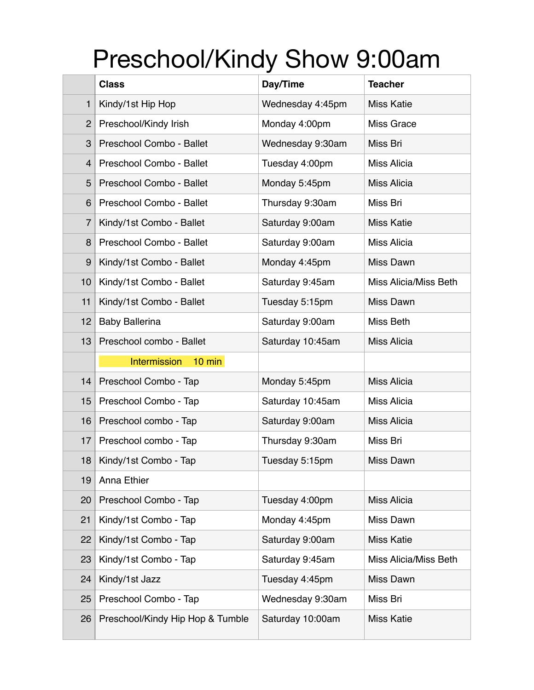## Preschool/Kindy Show 9:00am

|                | <b>Class</b>                     | Day/Time         | <b>Teacher</b>        |
|----------------|----------------------------------|------------------|-----------------------|
| 1              | Kindy/1st Hip Hop                | Wednesday 4:45pm | <b>Miss Katie</b>     |
| $\overline{2}$ | Preschool/Kindy Irish            | Monday 4:00pm    | <b>Miss Grace</b>     |
| 3              | Preschool Combo - Ballet         | Wednesday 9:30am | Miss Bri              |
| 4              | Preschool Combo - Ballet         | Tuesday 4:00pm   | Miss Alicia           |
| 5              | Preschool Combo - Ballet         | Monday 5:45pm    | Miss Alicia           |
| 6              | Preschool Combo - Ballet         | Thursday 9:30am  | Miss Bri              |
| $\overline{7}$ | Kindy/1st Combo - Ballet         | Saturday 9:00am  | <b>Miss Katie</b>     |
| 8              | Preschool Combo - Ballet         | Saturday 9:00am  | Miss Alicia           |
| 9              | Kindy/1st Combo - Ballet         | Monday 4:45pm    | Miss Dawn             |
| 10             | Kindy/1st Combo - Ballet         | Saturday 9:45am  | Miss Alicia/Miss Beth |
| 11             | Kindy/1st Combo - Ballet         | Tuesday 5:15pm   | Miss Dawn             |
| 12             | <b>Baby Ballerina</b>            | Saturday 9:00am  | Miss Beth             |
| 13             | Preschool combo - Ballet         | Saturday 10:45am | Miss Alicia           |
|                | <b>Intermission</b><br>$10$ min  |                  |                       |
| 14             | Preschool Combo - Tap            | Monday 5:45pm    | Miss Alicia           |
| 15             | Preschool Combo - Tap            | Saturday 10:45am | Miss Alicia           |
| 16             | Preschool combo - Tap            | Saturday 9:00am  | Miss Alicia           |
| 17             | Preschool combo - Tap            | Thursday 9:30am  | Miss Bri              |
| 18             | Kindy/1st Combo - Tap            | Tuesday 5:15pm   | Miss Dawn             |
| 19             | Anna Ethier                      |                  |                       |
| 20             | Preschool Combo - Tap            | Tuesday 4:00pm   | <b>Miss Alicia</b>    |
| 21             | Kindy/1st Combo - Tap            | Monday 4:45pm    | Miss Dawn             |
| 22             | Kindy/1st Combo - Tap            | Saturday 9:00am  | <b>Miss Katie</b>     |
| 23             | Kindy/1st Combo - Tap            | Saturday 9:45am  | Miss Alicia/Miss Beth |
| 24             | Kindy/1st Jazz                   | Tuesday 4:45pm   | Miss Dawn             |
| 25             | Preschool Combo - Tap            | Wednesday 9:30am | Miss Bri              |
| 26             | Preschool/Kindy Hip Hop & Tumble | Saturday 10:00am | <b>Miss Katie</b>     |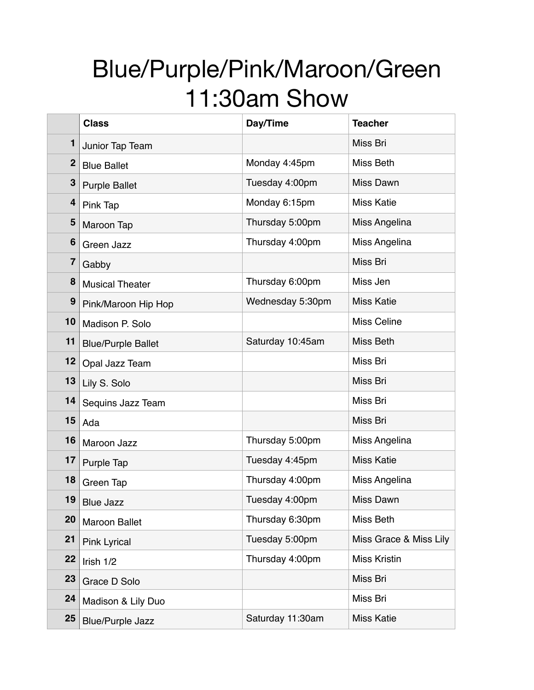## Blue/Purple/Pink/Maroon/Green 11:30am Show

|              | <b>Class</b>              | Day/Time         | <b>Teacher</b>         |
|--------------|---------------------------|------------------|------------------------|
| 1            | Junior Tap Team           |                  | Miss Bri               |
| $\mathbf{2}$ | <b>Blue Ballet</b>        | Monday 4:45pm    | Miss Beth              |
| 3            | <b>Purple Ballet</b>      | Tuesday 4:00pm   | Miss Dawn              |
| 4            | Pink Tap                  | Monday 6:15pm    | <b>Miss Katie</b>      |
| 5            | Maroon Tap                | Thursday 5:00pm  | Miss Angelina          |
| 6            | Green Jazz                | Thursday 4:00pm  | Miss Angelina          |
| 7            | Gabby                     |                  | Miss Bri               |
| 8            | <b>Musical Theater</b>    | Thursday 6:00pm  | Miss Jen               |
| 9            | Pink/Maroon Hip Hop       | Wednesday 5:30pm | <b>Miss Katie</b>      |
| 10           | Madison P. Solo           |                  | <b>Miss Celine</b>     |
| 11           | <b>Blue/Purple Ballet</b> | Saturday 10:45am | <b>Miss Beth</b>       |
| 12           | Opal Jazz Team            |                  | Miss Bri               |
| 13           | Lily S. Solo              |                  | Miss Bri               |
| 14           | Sequins Jazz Team         |                  | Miss Bri               |
| 15           | Ada                       |                  | Miss Bri               |
| 16           | Maroon Jazz               | Thursday 5:00pm  | Miss Angelina          |
| 17           | Purple Tap                | Tuesday 4:45pm   | <b>Miss Katie</b>      |
| 18           | Green Tap                 | Thursday 4:00pm  | Miss Angelina          |
| 19           | <b>Blue Jazz</b>          | Tuesday 4:00pm   | <b>Miss Dawn</b>       |
| 20           | <b>Maroon Ballet</b>      | Thursday 6:30pm  | Miss Beth              |
| 21           | <b>Pink Lyrical</b>       | Tuesday 5:00pm   | Miss Grace & Miss Lily |
| 22           | Irish $1/2$               | Thursday 4:00pm  | <b>Miss Kristin</b>    |
| 23           | Grace D Solo              |                  | Miss Bri               |
| 24           | Madison & Lily Duo        |                  | Miss Bri               |
| 25           | <b>Blue/Purple Jazz</b>   | Saturday 11:30am | <b>Miss Katie</b>      |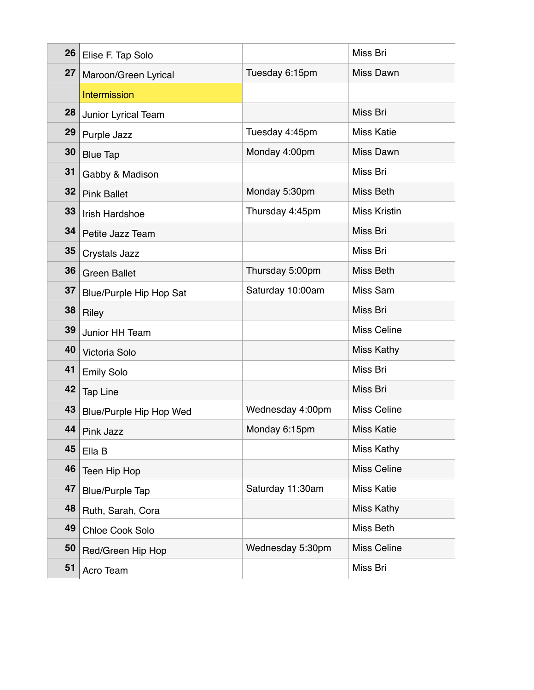| 26 | Elise F. Tap Solo              |                  | Miss Bri            |
|----|--------------------------------|------------------|---------------------|
| 27 | Maroon/Green Lyrical           | Tuesday 6:15pm   | Miss Dawn           |
|    | Intermission                   |                  |                     |
| 28 | Junior Lyrical Team            |                  | Miss Bri            |
| 29 | Purple Jazz                    | Tuesday 4:45pm   | <b>Miss Katie</b>   |
| 30 | <b>Blue Tap</b>                | Monday 4:00pm    | Miss Dawn           |
| 31 | Gabby & Madison                |                  | Miss Bri            |
| 32 | <b>Pink Ballet</b>             | Monday 5:30pm    | Miss Beth           |
| 33 | <b>Irish Hardshoe</b>          | Thursday 4:45pm  | <b>Miss Kristin</b> |
| 34 | Petite Jazz Team               |                  | Miss Bri            |
| 35 | Crystals Jazz                  |                  | Miss Bri            |
| 36 | <b>Green Ballet</b>            | Thursday 5:00pm  | Miss Beth           |
| 37 | <b>Blue/Purple Hip Hop Sat</b> | Saturday 10:00am | Miss Sam            |
| 38 | Riley                          |                  | Miss Bri            |
| 39 | Junior HH Team                 |                  | <b>Miss Celine</b>  |
| 40 | Victoria Solo                  |                  | Miss Kathy          |
| 41 | <b>Emily Solo</b>              |                  | Miss Bri            |
| 42 | <b>Tap Line</b>                |                  | Miss Bri            |
| 43 | <b>Blue/Purple Hip Hop Wed</b> | Wednesday 4:00pm | <b>Miss Celine</b>  |
| 44 | Pink Jazz                      | Monday 6:15pm    | <b>Miss Katie</b>   |
| 45 | Ella B                         |                  | Miss Kathy          |
| 46 | Teen Hip Hop                   |                  | Miss Celine         |
| 47 | <b>Blue/Purple Tap</b>         | Saturday 11:30am | <b>Miss Katie</b>   |
| 48 | Ruth, Sarah, Cora              |                  | Miss Kathy          |
| 49 | <b>Chloe Cook Solo</b>         |                  | Miss Beth           |
| 50 | Red/Green Hip Hop              | Wednesday 5:30pm | Miss Celine         |
| 51 | Acro Team                      |                  | Miss Bri            |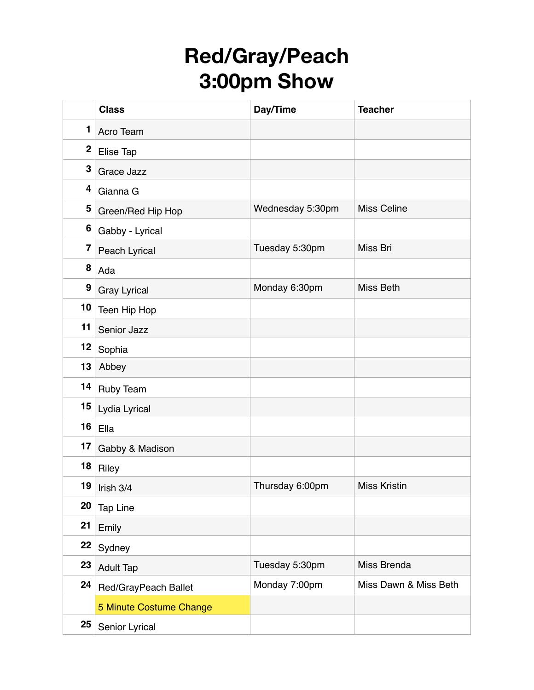## **Red/Gray/Peach 3:00pm Show**

|                         | <b>Class</b>            | Day/Time         | <b>Teacher</b>        |
|-------------------------|-------------------------|------------------|-----------------------|
| 1                       | Acro Team               |                  |                       |
| $\mathbf 2$             | Elise Tap               |                  |                       |
| $\mathbf 3$             | Grace Jazz              |                  |                       |
| 4                       | Gianna G                |                  |                       |
| 5                       | Green/Red Hip Hop       | Wednesday 5:30pm | <b>Miss Celine</b>    |
| 6                       | Gabby - Lyrical         |                  |                       |
| $\overline{\mathbf{7}}$ | Peach Lyrical           | Tuesday 5:30pm   | Miss Bri              |
| 8                       | Ada                     |                  |                       |
| 9                       | <b>Gray Lyrical</b>     | Monday 6:30pm    | <b>Miss Beth</b>      |
| 10                      | Teen Hip Hop            |                  |                       |
| 11                      | Senior Jazz             |                  |                       |
| 12                      | Sophia                  |                  |                       |
| 13                      | Abbey                   |                  |                       |
| 14                      | Ruby Team               |                  |                       |
| 15                      | Lydia Lyrical           |                  |                       |
| 16                      | Ella                    |                  |                       |
| 17                      | Gabby & Madison         |                  |                       |
| 18                      | Riley                   |                  |                       |
| 19                      | Irish 3/4               | Thursday 6:00pm  | <b>Miss Kristin</b>   |
| 20                      | <b>Tap Line</b>         |                  |                       |
| 21                      | Emily                   |                  |                       |
| 22                      | Sydney                  |                  |                       |
| 23                      | <b>Adult Tap</b>        | Tuesday 5:30pm   | Miss Brenda           |
| 24                      | Red/GrayPeach Ballet    | Monday 7:00pm    | Miss Dawn & Miss Beth |
|                         | 5 Minute Costume Change |                  |                       |
| 25                      | Senior Lyrical          |                  |                       |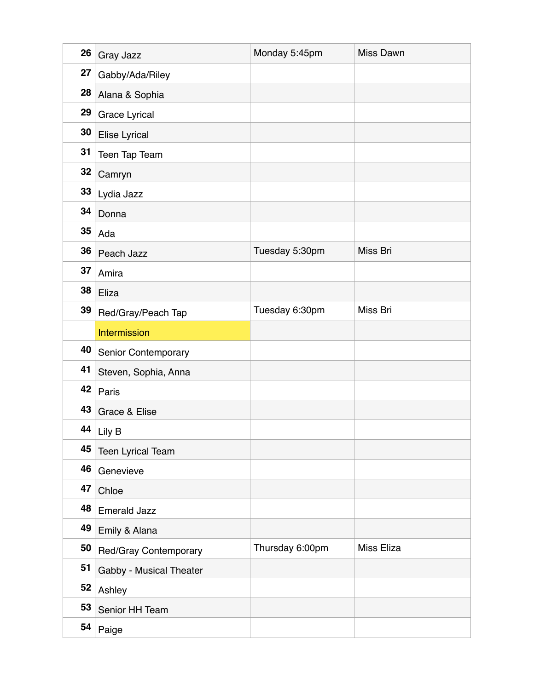| 26 | Gray Jazz                  | Monday 5:45pm   | <b>Miss Dawn</b> |
|----|----------------------------|-----------------|------------------|
| 27 | Gabby/Ada/Riley            |                 |                  |
| 28 | Alana & Sophia             |                 |                  |
| 29 | <b>Grace Lyrical</b>       |                 |                  |
| 30 | Elise Lyrical              |                 |                  |
| 31 | Teen Tap Team              |                 |                  |
| 32 | Camryn                     |                 |                  |
| 33 | Lydia Jazz                 |                 |                  |
| 34 | Donna                      |                 |                  |
| 35 | Ada                        |                 |                  |
| 36 | Peach Jazz                 | Tuesday 5:30pm  | Miss Bri         |
| 37 | Amira                      |                 |                  |
| 38 | Eliza                      |                 |                  |
| 39 | Red/Gray/Peach Tap         | Tuesday 6:30pm  | Miss Bri         |
|    | Intermission               |                 |                  |
| 40 | <b>Senior Contemporary</b> |                 |                  |
| 41 | Steven, Sophia, Anna       |                 |                  |
| 42 | Paris                      |                 |                  |
| 43 | Grace & Elise              |                 |                  |
| 44 | $ $ Lily B                 |                 |                  |
| 45 | <b>Teen Lyrical Team</b>   |                 |                  |
| 46 | Genevieve                  |                 |                  |
| 47 | Chloe                      |                 |                  |
| 48 | <b>Emerald Jazz</b>        |                 |                  |
| 49 | Emily & Alana              |                 |                  |
| 50 | Red/Gray Contemporary      | Thursday 6:00pm | Miss Eliza       |
| 51 | Gabby - Musical Theater    |                 |                  |
| 52 | Ashley                     |                 |                  |
| 53 | Senior HH Team             |                 |                  |
| 54 | Paige                      |                 |                  |